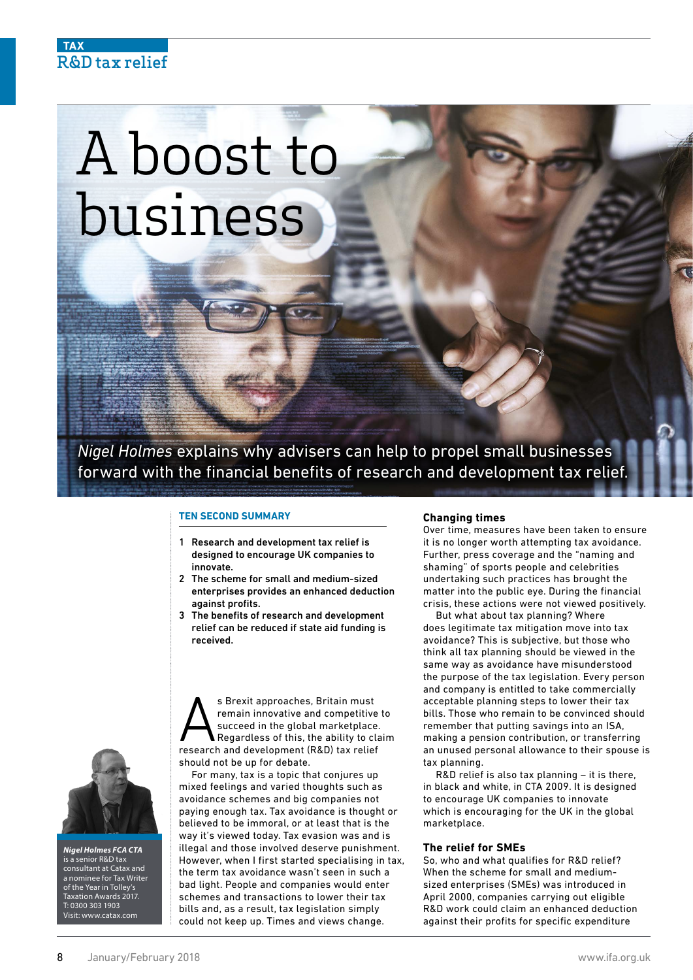# **TAX** R&D tax relief

# A boost to business

*Nigel Holmes* explains why advisers can help to propel small businesses forward with the financial benefits of research and development tax relief

#### **TEN SECOND SUMMARY**

- 1 Research and development tax relief is designed to encourage UK companies to innovate.
- 2 The scheme for small and medium-sized enterprises provides an enhanced deduction against profits.
- 3 The benefits of research and development relief can be reduced if state aid funding is received.

S Brexit approaches, Britain must<br>remain innovative and competitive<br>succeed in the global marketplace<br>Regardless of this, the ability to cl<br>research and development (R&D) tax relie remain innovative and competitive to succeed in the global marketplace. Regardless of this, the ability to claim research and development (R&D) tax relief should not be up for debate.

For many, tax is a topic that conjures up mixed feelings and varied thoughts such as avoidance schemes and big companies not paying enough tax. Tax avoidance is thought or believed to be immoral, or at least that is the way it's viewed today. Tax evasion was and is illegal and those involved deserve punishment. However, when I first started specialising in tax, the term tax avoidance wasn't seen in such a bad light. People and companies would enter schemes and transactions to lower their tax bills and, as a result, tax legislation simply could not keep up. Times and views change.

## **Changing times**

Over time, measures have been taken to ensure it is no longer worth attempting tax avoidance. Further, press coverage and the "naming and shaming" of sports people and celebrities undertaking such practices has brought the matter into the public eye. During the financial crisis, these actions were not viewed positively.

But what about tax planning? Where does legitimate tax mitigation move into tax avoidance? This is subjective, but those who think all tax planning should be viewed in the same way as avoidance have misunderstood the purpose of the tax legislation. Every person and company is entitled to take commercially acceptable planning steps to lower their tax bills. Those who remain to be convinced should remember that putting savings into an ISA, making a pension contribution, or transferring an unused personal allowance to their spouse is tax planning.

R&D relief is also tax planning – it is there, in black and white, in CTA 2009. It is designed to encourage UK companies to innovate which is encouraging for the UK in the global marketplace.

### **The relief for SMEs**

So, who and what qualifies for R&D relief? When the scheme for small and mediumsized enterprises (SMEs) was introduced in April 2000, companies carrying out eligible R&D work could claim an enhanced deduction against their profits for specific expenditure



*Nigel Holmes FCA CTA* is a senior R&D tax consultant at Catax and a nominee for Tax Writer of the Year in Tolley's Taxation Awards 2017. T: 0300 303 1903 Visit: www.catax.com